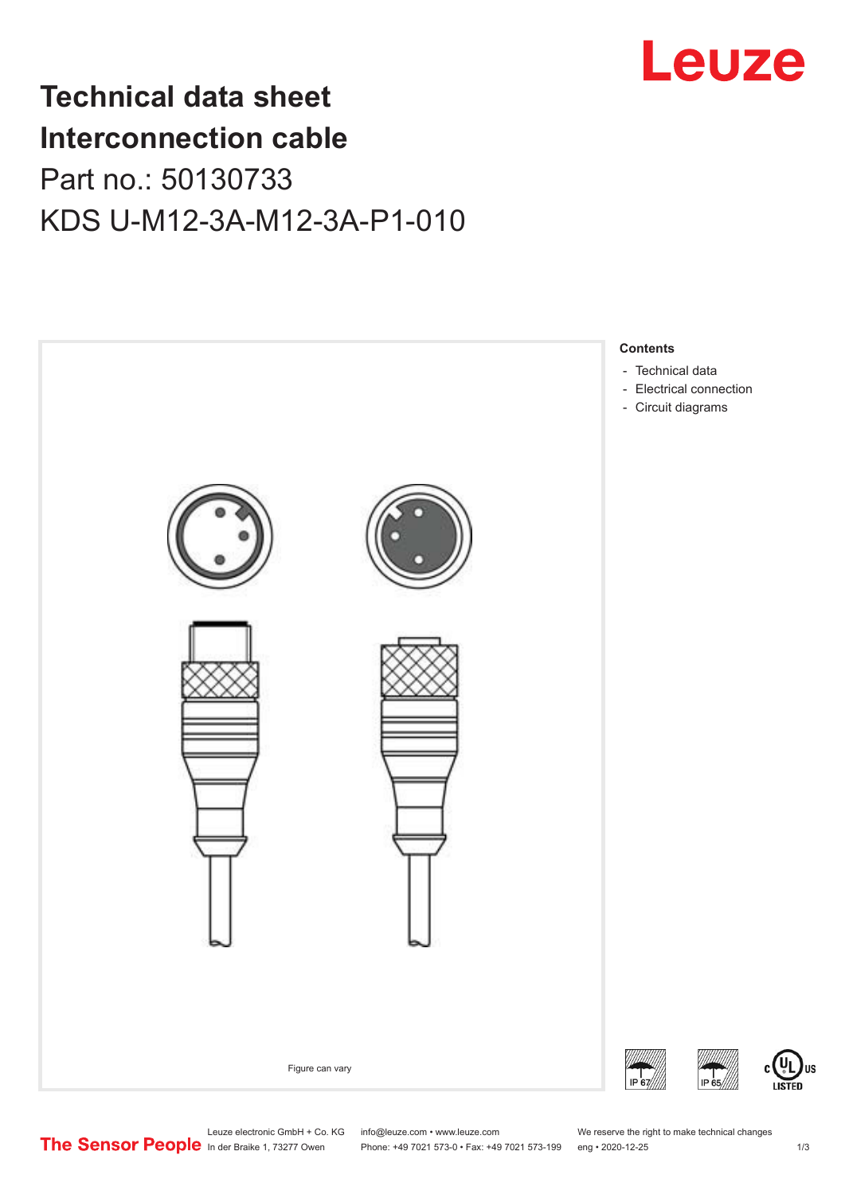

## **Technical data sheet Interconnection cable** Part no.: 50130733 KDS U-M12-3A-M12-3A-P1-010



Leuze electronic GmbH + Co. KG info@leuze.com • www.leuze.com We reserve the right to make technical changes<br> **The Sensor People** in der Braike 1, 73277 Owen Phone: +49 7021 573-0 • Fax: +49 7021 573-199 eng • 2020-12-25

Phone: +49 7021 573-0 • Fax: +49 7021 573-199 eng • 2020-12-25 1 2020-12-25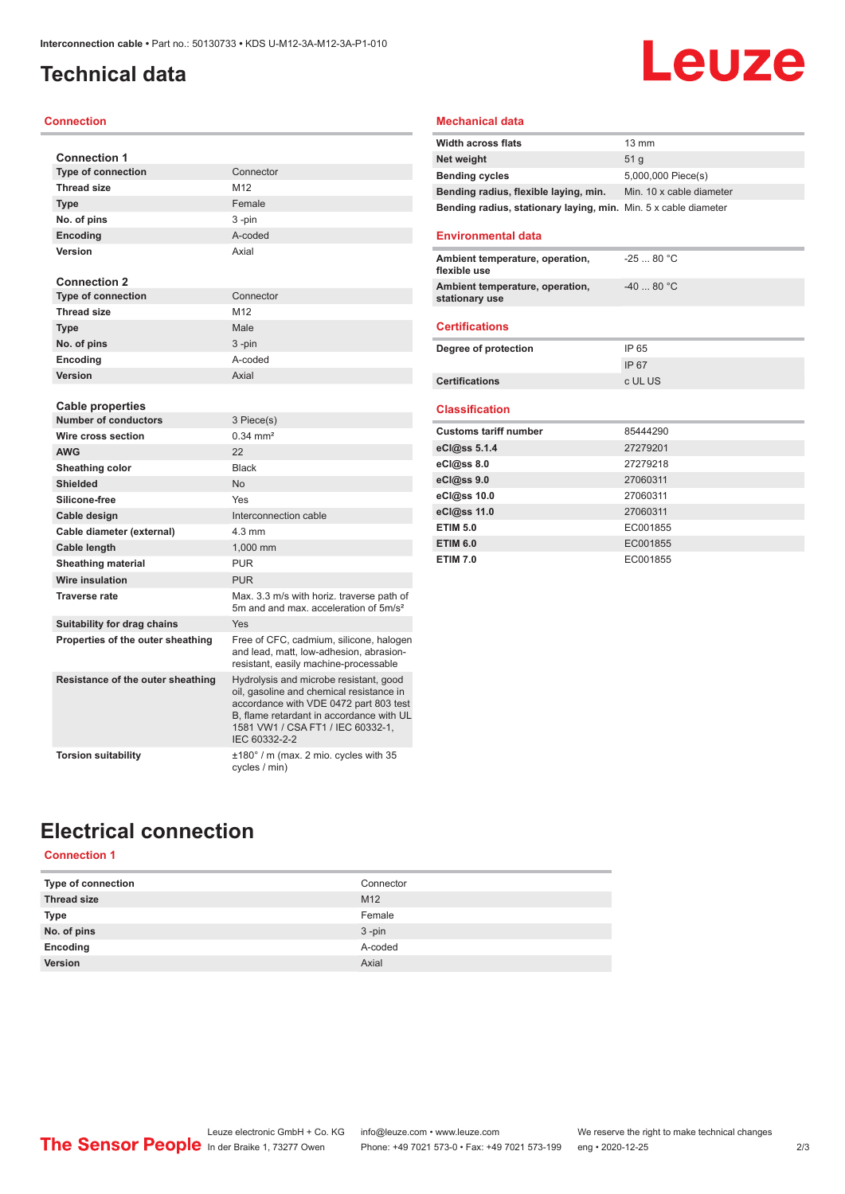### <span id="page-1-0"></span>**Technical data**

#### **Connection**

| <b>Connection 1</b>                             |                                                                                                                                                                                                                                |
|-------------------------------------------------|--------------------------------------------------------------------------------------------------------------------------------------------------------------------------------------------------------------------------------|
| <b>Type of connection</b>                       | Connector                                                                                                                                                                                                                      |
| <b>Thread size</b>                              | M12                                                                                                                                                                                                                            |
| <b>Type</b>                                     | Female                                                                                                                                                                                                                         |
| No. of pins                                     | 3-pin                                                                                                                                                                                                                          |
| <b>Encoding</b>                                 | A-coded                                                                                                                                                                                                                        |
| Version                                         | Axial                                                                                                                                                                                                                          |
|                                                 |                                                                                                                                                                                                                                |
| <b>Connection 2</b>                             |                                                                                                                                                                                                                                |
| <b>Type of connection</b>                       | Connector                                                                                                                                                                                                                      |
| <b>Thread size</b>                              | M <sub>12</sub>                                                                                                                                                                                                                |
| <b>Type</b>                                     | Male                                                                                                                                                                                                                           |
| No. of pins                                     | $3$ -pin                                                                                                                                                                                                                       |
| Encoding                                        | A-coded                                                                                                                                                                                                                        |
| Version                                         | Axial                                                                                                                                                                                                                          |
|                                                 |                                                                                                                                                                                                                                |
| Cable properties<br><b>Number of conductors</b> |                                                                                                                                                                                                                                |
| Wire cross section                              | 3 Piece(s)<br>$0.34 \, \text{mm}^2$                                                                                                                                                                                            |
|                                                 |                                                                                                                                                                                                                                |
| <b>AWG</b>                                      | 22                                                                                                                                                                                                                             |
| Sheathing color                                 | <b>Black</b>                                                                                                                                                                                                                   |
| <b>Shielded</b>                                 | <b>No</b>                                                                                                                                                                                                                      |
| Silicone-free                                   | Yes                                                                                                                                                                                                                            |
| Cable design                                    | Interconnection cable                                                                                                                                                                                                          |
| Cable diameter (external)                       | $4.3 \text{ mm}$                                                                                                                                                                                                               |
| Cable length                                    | 1,000 mm                                                                                                                                                                                                                       |
| <b>Sheathing material</b>                       | <b>PUR</b>                                                                                                                                                                                                                     |
| Wire insulation                                 | <b>PUR</b>                                                                                                                                                                                                                     |
| <b>Traverse rate</b>                            | Max. 3.3 m/s with horiz. traverse path of<br>5m and and max, acceleration of 5m/s <sup>2</sup>                                                                                                                                 |
| Suitability for drag chains                     | Yes                                                                                                                                                                                                                            |
| Properties of the outer sheathing               | Free of CFC, cadmium, silicone, halogen<br>and lead, matt, low-adhesion, abrasion-<br>resistant, easily machine-processable                                                                                                    |
| Resistance of the outer sheathing               | Hydrolysis and microbe resistant, good<br>oil, gasoline and chemical resistance in<br>accordance with VDE 0472 part 803 test<br>B, flame retardant in accordance with UL<br>1581 VW1 / CSA FT1 / IEC 60332-1,<br>IEC 60332-2-2 |
| <b>Torsion suitability</b>                      | ±180° / m (max. 2 mio. cycles with 35<br>cycles / min)                                                                                                                                                                         |

#### **Mechanical data**

| <b>Width across flats</b>                                       | $13 \text{ mm}$          |
|-----------------------------------------------------------------|--------------------------|
| Net weight                                                      | 51 <sub>a</sub>          |
| <b>Bending cycles</b>                                           | 5,000,000 Piece(s)       |
| Bending radius, flexible laying, min.                           | Min. 10 x cable diameter |
| Bending radius, stationary laying, min. Min. 5 x cable diameter |                          |

**Leuze** 

#### **Environmental data**

| Ambient temperature, operation,                   | -25  80 °C |
|---------------------------------------------------|------------|
| flexible use                                      |            |
| Ambient temperature, operation,<br>stationary use | $-4080 °C$ |
|                                                   |            |

### **Certifications**

| Degree of protection  | IP 65   |
|-----------------------|---------|
|                       | IP 67   |
| <b>Certifications</b> | c UL US |

#### **Classification**

| <b>Customs tariff number</b> | 85444290 |
|------------------------------|----------|
| eCl@ss 5.1.4                 | 27279201 |
| $eC/\omega$ ss 8.0           | 27279218 |
| eCl@ss 9.0                   | 27060311 |
| eCl@ss 10.0                  | 27060311 |
| eCl@ss 11.0                  | 27060311 |
| <b>ETIM 5.0</b>              | EC001855 |
| <b>ETIM 6.0</b>              | EC001855 |
| <b>ETIM 7.0</b>              | EC001855 |

### **Electrical connection**

### **Connection 1**

| Type of connection | Connector       |
|--------------------|-----------------|
| <b>Thread size</b> | M <sub>12</sub> |
| Type               | Female          |
| No. of pins        | $3 - pin$       |
| Encoding           | A-coded         |
| Version            | Axial           |